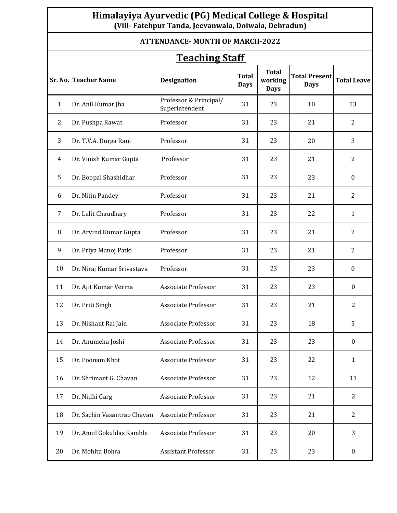## **Himalayiya Ayurvedic (PG) Medical College & Hospital (Vill- Fatehpur Tanda, Jeevanwala, Doiwala, Dehradun)**

| <b>ATTENDANCE-MONTH OF MARCH-2022</b><br><b>Teaching Staff</b> |                             |                                          |    |    |    |                  |  |  |  |  |
|----------------------------------------------------------------|-----------------------------|------------------------------------------|----|----|----|------------------|--|--|--|--|
|                                                                |                             |                                          |    |    |    |                  |  |  |  |  |
| $\mathbf{1}$                                                   | Dr. Anil Kumar Jha          | Professor & Principal/<br>Superintendent | 31 | 23 | 10 | 13               |  |  |  |  |
| $\overline{2}$                                                 | Dr. Pushpa Rawat            | Professor                                | 31 | 23 | 21 | $\overline{2}$   |  |  |  |  |
| 3                                                              | Dr. T.V.A. Durga Rani       | Professor                                | 31 | 23 | 20 | 3                |  |  |  |  |
| 4                                                              | Dr. Vinish Kumar Gupta      | Professor                                | 31 | 23 | 21 | $\overline{2}$   |  |  |  |  |
| 5                                                              | Dr. Boopal Shashidhar       | Professor                                | 31 | 23 | 23 | $\boldsymbol{0}$ |  |  |  |  |
| 6                                                              | Dr. Nitin Pandey            | Professor                                | 31 | 23 | 21 | 2                |  |  |  |  |
| 7                                                              | Dr. Lalit Chaudhary         | Professor                                | 31 | 23 | 22 | $\mathbf{1}$     |  |  |  |  |
| 8                                                              | Dr. Arvind Kumar Gupta      | Professor                                | 31 | 23 | 21 | $\overline{2}$   |  |  |  |  |
| 9                                                              | Dr. Priya Manoj Patki       | Professor                                | 31 | 23 | 21 | $\overline{2}$   |  |  |  |  |
| 10                                                             | Dr. Niraj Kumar Srivastava  | Professor                                | 31 | 23 | 23 | $\boldsymbol{0}$ |  |  |  |  |
| 11                                                             | Dr. Ajit Kumar Verma        | <b>Associate Professor</b>               | 31 | 23 | 23 | $\boldsymbol{0}$ |  |  |  |  |
| 12                                                             | Dr. Priti Singh             | <b>Associate Professor</b>               | 31 | 23 | 21 | 2                |  |  |  |  |
| 13                                                             | Dr. Nishant Rai Jain        | <b>Associate Professor</b>               | 31 | 23 | 18 | 5                |  |  |  |  |
| 14                                                             | Dr. Anumeha Joshi           | <b>Associate Professor</b>               | 31 | 23 | 23 | $\boldsymbol{0}$ |  |  |  |  |
| 15                                                             | Dr. Poonam Khot             | <b>Associate Professor</b>               | 31 | 23 | 22 | $\mathbf{1}$     |  |  |  |  |
| 16                                                             | Dr. Shrimant G. Chavan      | <b>Associate Professor</b>               | 31 | 23 | 12 | 11               |  |  |  |  |
| 17                                                             | Dr. Nidhi Garg              | <b>Associate Professor</b>               | 31 | 23 | 21 | $\overline{2}$   |  |  |  |  |
| 18                                                             | Dr. Sachin Vasantrao Chavan | Associate Professor                      | 31 | 23 | 21 | $\overline{2}$   |  |  |  |  |
| 19                                                             | Dr. Amol Gokuldas Kamble    | <b>Associate Professor</b>               | 31 | 23 | 20 | 3                |  |  |  |  |
| 20                                                             | Dr. Mohita Bohra            | Assistant Professor                      | 31 | 23 | 23 | $\boldsymbol{0}$ |  |  |  |  |